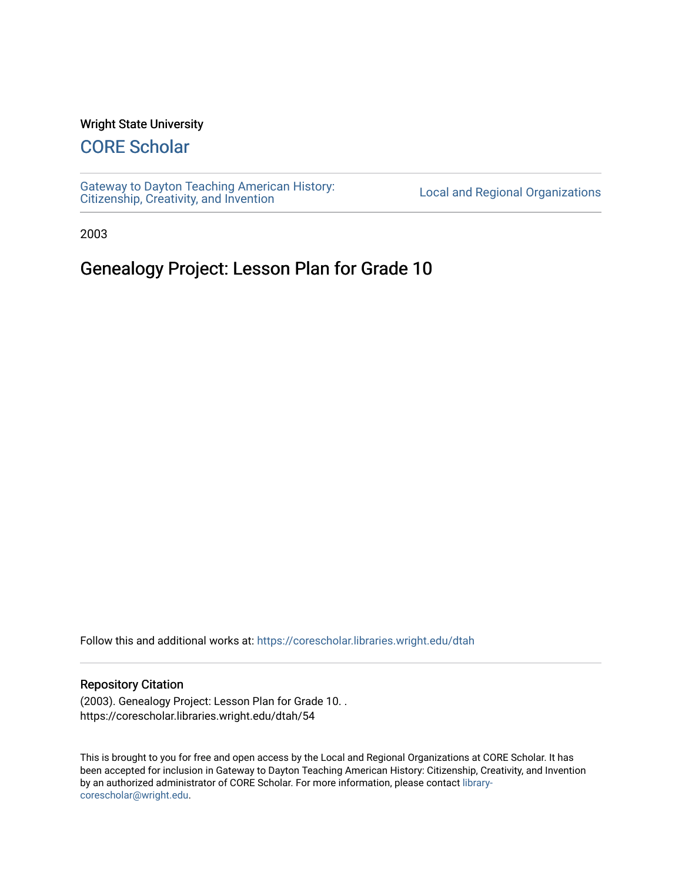#### Wright State University

# [CORE Scholar](https://corescholar.libraries.wright.edu/)

[Gateway to Dayton Teaching American History:](https://corescholar.libraries.wright.edu/dtah)  Gateway to Dayton Teaching American History.<br>[Citizenship, Creativity, and Invention](https://corescholar.libraries.wright.edu/dtah) Listory Local and Regional Organizations

2003

## Genealogy Project: Lesson Plan for Grade 10

Follow this and additional works at: [https://corescholar.libraries.wright.edu/dtah](https://corescholar.libraries.wright.edu/dtah?utm_source=corescholar.libraries.wright.edu%2Fdtah%2F54&utm_medium=PDF&utm_campaign=PDFCoverPages)

#### Repository Citation

(2003). Genealogy Project: Lesson Plan for Grade 10. . https://corescholar.libraries.wright.edu/dtah/54

This is brought to you for free and open access by the Local and Regional Organizations at CORE Scholar. It has been accepted for inclusion in Gateway to Dayton Teaching American History: Citizenship, Creativity, and Invention by an authorized administrator of CORE Scholar. For more information, please contact [library](mailto:library-corescholar@wright.edu)[corescholar@wright.edu](mailto:library-corescholar@wright.edu).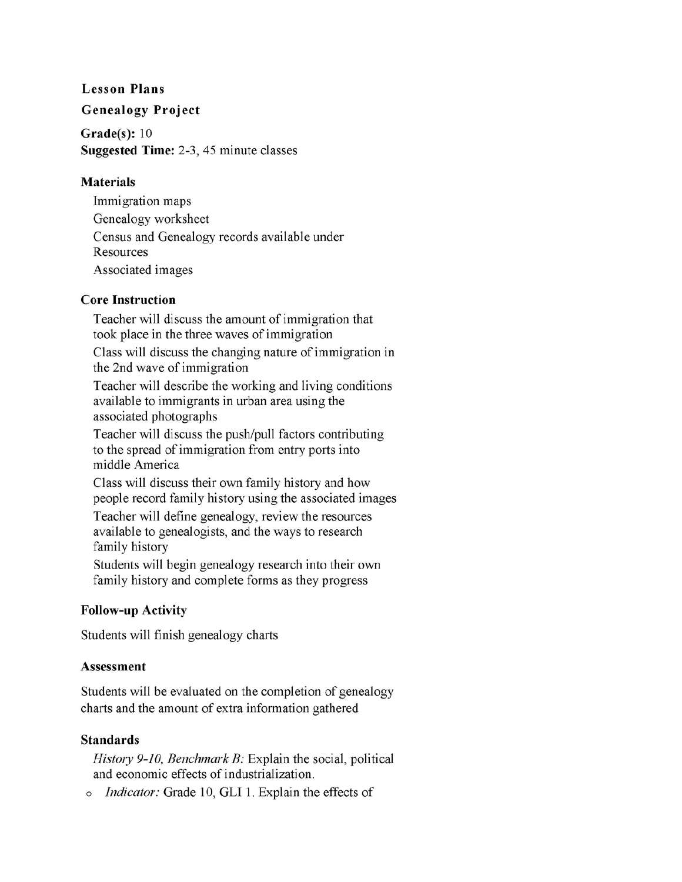#### **Lesson Plans**

#### **Genealogy Project**

**Grade(s):** 10 **Suggested Time:** 2-3, 45 minute classes

#### **Materials**

Immigration maps Genealogy worksheet Census and Genealogy records available under **Resources** Associated images

### **Core Instruction**

Teacher will discuss the amount of immigration that took place in the three waves of immigration

Class will discuss the changing nature of immigration in the 2nd wave of immigration

Teacher will describe the working and living conditions available to immigrants in urban area using the associated photographs

Teacher will discuss the push/pull factors contributing to the spread of immigration from entry ports into middle America

Class will discuss their own family history and how people record family history using the associated images

Teacher will define genealogy, review the resources available to genealogists, and the ways to research family history

Students will begin genealogy research into their own family history and complete forms as they progress

### **Follow-up Activity**

Students will finish genealogy charts

### **Assessment**

Students will be evaluated on the completion of genealogy charts and the amount of extra information gathered

### **Standards**

*History 9-10, Benchmark B:* Explain the social, political and economic effects of industrialization.

o *Indicator:* Grade 10, **GLI** 1. Explain the effects of